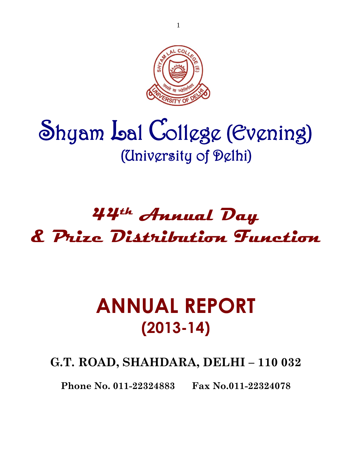

# Shyam Lal College (Evening) (University of Delhi)

# **44th Annual Day & Prize Distribution Function**

# **ANNUAL REPORT (2013-14)**

**G.T. ROAD, SHAHDARA, DELHI – 110 032**

**Phone No. 011-22324883 Fax No.011-22324078**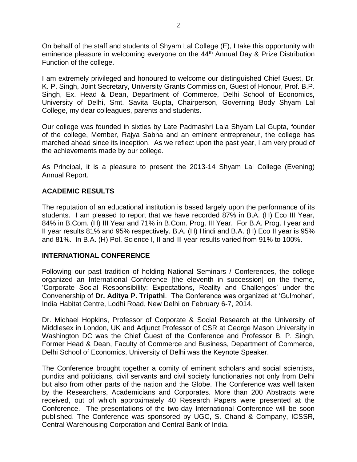On behalf of the staff and students of Shyam Lal College (E), I take this opportunity with eminence pleasure in welcoming everyone on the 44<sup>th</sup> Annual Day & Prize Distribution Function of the college.

I am extremely privileged and honoured to welcome our distinguished Chief Guest, Dr. K. P. Singh, Joint Secretary, University Grants Commission, Guest of Honour, Prof. B.P. Singh, Ex. Head & Dean, Department of Commerce, Delhi School of Economics, University of Delhi, Smt. Savita Gupta, Chairperson, Governing Body Shyam Lal College, my dear colleagues, parents and students.

Our college was founded in sixties by Late Padmashri Lala Shyam Lal Gupta, founder of the college, Member, Rajya Sabha and an eminent entrepreneur, the college has marched ahead since its inception. As we reflect upon the past year, I am very proud of the achievements made by our college.

As Principal, it is a pleasure to present the 2013-14 Shyam Lal College (Evening) Annual Report.

# **ACADEMIC RESULTS**

The reputation of an educational institution is based largely upon the performance of its students. I am pleased to report that we have recorded 87% in B.A. (H) Eco III Year, 84% in B.Com. (H) III Year and 71% in B.Com. Prog. III Year. For B.A. Prog. I year and II year results 81% and 95% respectively. B.A. (H) Hindi and B.A. (H) Eco II year is 95% and 81%. In B.A. (H) Pol. Science I, II and III year results varied from 91% to 100%.

#### **INTERNATIONAL CONFERENCE**

Following our past tradition of holding National Seminars / Conferences, the college organized an International Conference [the eleventh in succession] on the theme, 'Corporate Social Responsibility: Expectations, Reality and Challenges' under the Convenership of **Dr. Aditya P. Tripathi**. The Conference was organized at 'Gulmohar', India Habitat Centre, Lodhi Road, New Delhi on February 6-7, 2014.

Dr. Michael Hopkins, Professor of Corporate & Social Research at the University of Middlesex in London, UK and Adjunct Professor of CSR at George Mason University in Washington DC was the Chief Guest of the Conference and Professor B. P. Singh, Former Head & Dean, Faculty of Commerce and Business, Department of Commerce, Delhi School of Economics, University of Delhi was the Keynote Speaker.

The Conference brought together a comity of eminent scholars and social scientists, pundits and politicians, civil servants and civil society functionaries not only from Delhi but also from other parts of the nation and the Globe. The Conference was well taken by the Researchers, Academicians and Corporates. More than 200 Abstracts were received, out of which approximately 40 Research Papers were presented at the Conference. The presentations of the two-day International Conference will be soon published. The Conference was sponsored by UGC, S. Chand & Company, ICSSR, Central Warehousing Corporation and Central Bank of India.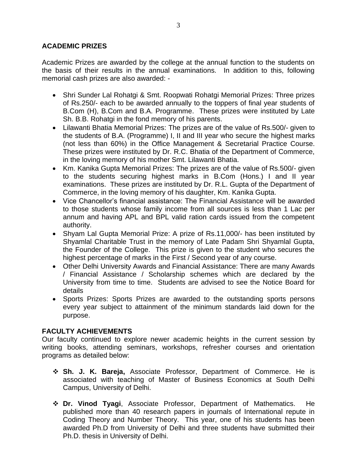# **ACADEMIC PRIZES**

Academic Prizes are awarded by the college at the annual function to the students on the basis of their results in the annual examinations. In addition to this, following memorial cash prizes are also awarded: -

- Shri Sunder Lal Rohatgi & Smt. Roopwati Rohatgi Memorial Prizes: Three prizes of Rs.250/- each to be awarded annually to the toppers of final year students of B.Com (H), B.Com and B.A. Programme. These prizes were instituted by Late Sh. B.B. Rohatgi in the fond memory of his parents.
- Lilawanti Bhatia Memorial Prizes: The prizes are of the value of Rs.500/- given to the students of B.A. (Programme) I, II and III year who secure the highest marks (not less than 60%) in the Office Management & Secretarial Practice Course. These prizes were instituted by Dr. R.C. Bhatia of the Department of Commerce, in the loving memory of his mother Smt. Lilawanti Bhatia.
- Km. Kanika Gupta Memorial Prizes: The prizes are of the value of Rs.500/- given to the students securing highest marks in B.Com (Hons.) I and II year examinations. These prizes are instituted by Dr. R.L. Gupta of the Department of Commerce, in the loving memory of his daughter, Km. Kanika Gupta.
- Vice Chancellor's financial assistance: The Financial Assistance will be awarded to those students whose family income from all sources is less than 1 Lac per annum and having APL and BPL valid ration cards issued from the competent authority.
- Shyam Lal Gupta Memorial Prize: A prize of Rs.11,000/- has been instituted by Shyamlal Charitable Trust in the memory of Late Padam Shri Shyamlal Gupta, the Founder of the College. This prize is given to the student who secures the highest percentage of marks in the First / Second year of any course.
- Other Delhi University Awards and Financial Assistance: There are many Awards / Financial Assistance / Scholarship schemes which are declared by the University from time to time. Students are advised to see the Notice Board for details
- Sports Prizes: Sports Prizes are awarded to the outstanding sports persons every year subject to attainment of the minimum standards laid down for the purpose.

# **FACULTY ACHIEVEMENTS**

Our faculty continued to explore newer academic heights in the current session by writing books, attending seminars, workshops, refresher courses and orientation programs as detailed below:

- ❖ **Sh. J. K. Bareja,** Associate Professor, Department of Commerce. He is associated with teaching of Master of Business Economics at South Delhi Campus, University of Delhi.
- ❖ **Dr. Vinod Tyagi**, Associate Professor, Department of Mathematics. He published more than 40 research papers in journals of International repute in Coding Theory and Number Theory. This year, one of his students has been awarded Ph.D from University of Delhi and three students have submitted their Ph.D. thesis in University of Delhi.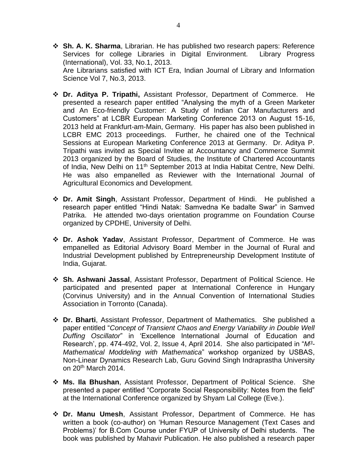- ❖ **Sh. A. K. Sharma**, Librarian. He has published two research papers: Reference Services for college Libraries in Digital Environment. Library Progress (International), Vol. 33, No.1, 2013. Are Librarians satisfied with ICT Era, Indian Journal of Library and Information Science Vol 7, No.3, 2013.
- ❖ **Dr. Aditya P. Tripathi,** Assistant Professor, Department of Commerce. He presented a research paper entitled "Analysing the myth of a Green Marketer and An Eco-friendly Customer: A Study of Indian Car Manufacturers and Customers" at LCBR European Marketing Conference 2013 on August 15-16, 2013 held at Frankfurt-am-Main, Germany. His paper has also been published in LCBR EMC 2013 proceedings. Further, he chaired one of the Technical Sessions at European Marketing Conference 2013 at Germany. Dr. Aditya P. Tripathi was invited as Special Invitee at Accountancy and Commerce Summit 2013 organized by the Board of Studies, the Institute of Chartered Accountants of India, New Delhi on 11<sup>th</sup> September 2013 at India Habitat Centre, New Delhi. He was also empanelled as Reviewer with the International Journal of Agricultural Economics and Development.
- ❖ **Dr. Amit Singh**, Assistant Professor, Department of Hindi. He published a research paper entitled "Hindi Natak: Samvedna Ke badalte Swar" in Samved Patrika. He attended two-days orientation programme on Foundation Course organized by CPDHE, University of Delhi.
- ❖ **Dr. Ashok Yadav**, Assistant Professor, Department of Commerce. He was empanelled as Editorial Advisory Board Member in the Journal of Rural and Industrial Development published by Entrepreneurship Development Institute of India, Gujarat.
- ❖ **Sh. Ashwani Jassal**, Assistant Professor, Department of Political Science. He participated and presented paper at International Conference in Hungary (Corvinus University) and in the Annual Convention of International Studies Association in Torronto (Canada).
- ❖ **Dr. Bharti**, Assistant Professor, Department of Mathematics. She published a paper entitled "*Concept of Transient Chaos and Energy Variability in Double Well Duffing Oscillator*" in 'Excellence International Journal of Education and Research', pp. 474-492, Vol. 2, Issue 4, April 2014. She also participated in "*M<sup>3</sup> - Mathematical Moddeling with Mathematica*" workshop organized by USBAS, Non-Linear Dynamics Research Lab, Guru Govind Singh Indraprastha University on 20th March 2014.
- ❖ **Ms. Ila Bhushan**, Assistant Professor, Department of Political Science. She presented a paper entitled "Corporate Social Responsibility: Notes from the field" at the International Conference organized by Shyam Lal College (Eve.).
- ❖ **Dr. Manu Umesh**, Assistant Professor, Department of Commerce. He has written a book (co-author) on 'Human Resource Management (Text Cases and Problems)' for B.Com Course under FYUP of University of Delhi students. The book was published by Mahavir Publication. He also published a research paper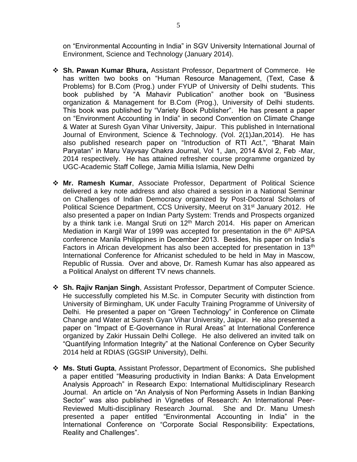on "Environmental Accounting in India" in SGV University International Journal of Environment, Science and Technology (January 2014).

- ❖ **Sh. Pawan Kumar Bhura,** Assistant Professor, Department of Commerce. He has written two books on "Human Resource Management, (Text, Case & Problems) for B.Com (Prog.) under FYUP of University of Delhi students. This book published by "A Mahavir Publication" another book on "Business organization & Management for B.Com (Prog.), University of Delhi students. This book was published by "Variety Book Publisher". He has present a paper on "Environment Accounting in India" in second Convention on Climate Change & Water at Suresh Gyan Vihar University, Jaipur. This published in International Journal of Environment, Science & Technology. (Vol. 2(1)Jan,2014). He has also published research paper on "Introduction of RTI Act.", "Bharat Main Paryatan" in Maru Vayvsay Chakra Journal, Vol 1, Jan, 2014 &Vol 2, Feb -Mar, 2014 respectively. He has attained refresher course programme organized by UGC-Academic Staff College, Jamia Millia Islamia, New Delhi
- ❖ **Mr. Ramesh Kumar**, Associate Professor, Department of Political Science delivered a key note address and also chaired a session in a National Seminar on Challenges of Indian Democracy organized by Post-Doctoral Scholars of Political Science Department, CCS University, Meerut on 31<sup>st</sup> January 2012. He also presented a paper on Indian Party System: Trends and Prospects organized by a think tank i.e. Mangal Sruti on  $12<sup>th</sup>$  March 2014. His paper on American Mediation in Kargil War of 1999 was accepted for presentation in the 6<sup>th</sup> AIPSA conference Manila Philippines in December 2013. Besides, his paper on India's Factors in African development has also been accepted for presentation in 13<sup>th</sup> International Conference for Africanist scheduled to be held in May in Mascow, Republic of Russia. Over and above, Dr. Ramesh Kumar has also appeared as a Political Analyst on different TV news channels.
- ❖ **Sh. Rajiv Ranjan Singh**, Assistant Professor, Department of Computer Science. He successfully completed his M.Sc. in Computer Security with distinction from University of Birmingham, UK under Faculty Training Programme of University of Delhi. He presented a paper on "Green Technology" in Conference on Climate Change and Water at Suresh Gyan Vihar University, Jaipur. He also presented a paper on "Impact of E-Governance in Rural Areas" at International Conference organized by Zakir Hussain Delhi College. He also delivered an invited talk on "Quantifying Information Integrity" at the National Conference on Cyber Security 2014 held at RDIAS (GGSIP University), Delhi.
- ❖ **Ms. Stuti Gupta**, Assistant Professor, Department of Economics**.** She published a paper entitled "Measuring productivity in Indian Banks: A Data Envelopment Analysis Approach" in Research Expo: International Multidisciplinary Research Journal. An article on "An Analysis of Non Performing Assets in Indian Banking Sector" was also published in Vignetles of Research: An International Peer-Reviewed Multi-disciplinary Research Journal. She and Dr. Manu Umesh presented a paper entitled "Environmental Accounting in India" in the International Conference on "Corporate Social Responsibility: Expectations, Reality and Challenges".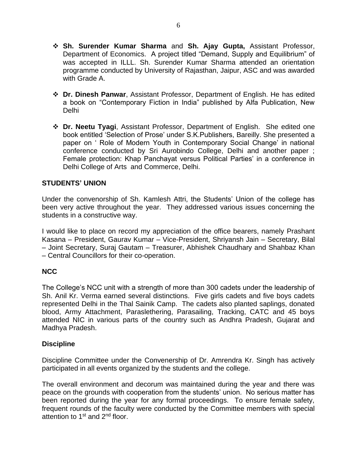- ❖ **Sh. Surender Kumar Sharma** and **Sh. Ajay Gupta,** Assistant Professor, Department of Economics. A project titled "Demand, Supply and Equilibrium" of was accepted in ILLL. Sh. Surender Kumar Sharma attended an orientation programme conducted by University of Rajasthan, Jaipur, ASC and was awarded with Grade A.
- ❖ **Dr. Dinesh Panwar**, Assistant Professor, Department of English. He has edited a book on "Contemporary Fiction in India" published by Alfa Publication, New Delhi
- ❖ **Dr. Neetu Tyagi**, Assistant Professor, Department of English. She edited one book entitled 'Selection of Prose' under S.K.Publishers, Bareilly. She presented a paper on ' Role of Modern Youth in Contemporary Social Change' in national conference conducted by Sri Aurobindo College, Delhi and another paper ; Female protection: Khap Panchayat versus Political Parties' in a conference in Delhi College of Arts and Commerce, Delhi.

#### **STUDENTS' UNION**

Under the convenorship of Sh. Kamlesh Attri, the Students' Union of the college has been very active throughout the year. They addressed various issues concerning the students in a constructive way.

I would like to place on record my appreciation of the office bearers, namely Prashant Kasana – President, Gaurav Kumar – Vice-President, Shriyansh Jain – Secretary, Bilal – Joint Secretary, Suraj Gautam – Treasurer, Abhishek Chaudhary and Shahbaz Khan – Central Councillors for their co-operation.

#### **NCC**

The College's NCC unit with a strength of more than 300 cadets under the leadership of Sh. Anil Kr. Verma earned several distinctions. Five girls cadets and five boys cadets represented Delhi in the Thal Sainik Camp. The cadets also planted saplings, donated blood, Army Attachment, Paraslethering, Parasailing, Tracking, CATC and 45 boys attended NIC in various parts of the country such as Andhra Pradesh, Gujarat and Madhya Pradesh.

#### **Discipline**

Discipline Committee under the Convenership of Dr. Amrendra Kr. Singh has actively participated in all events organized by the students and the college.

The overall environment and decorum was maintained during the year and there was peace on the grounds with cooperation from the students' union. No serious matter has been reported during the year for any formal proceedings. To ensure female safety, frequent rounds of the faculty were conducted by the Committee members with special attention to 1<sup>st</sup> and 2<sup>nd</sup> floor.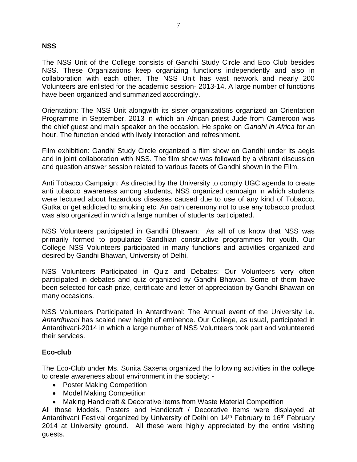# **NSS**

The NSS Unit of the College consists of Gandhi Study Circle and Eco Club besides NSS. These Organizations keep organizing functions independently and also in collaboration with each other. The NSS Unit has vast network and nearly 200 Volunteers are enlisted for the academic session- 2013-14. A large number of functions have been organized and summarized accordingly.

Orientation: The NSS Unit alongwith its sister organizations organized an Orientation Programme in September, 2013 in which an African priest Jude from Cameroon was the chief guest and main speaker on the occasion. He spoke on *Gandhi in Africa* for an hour. The function ended with lively interaction and refreshment.

Film exhibition: Gandhi Study Circle organized a film show on Gandhi under its aegis and in joint collaboration with NSS. The film show was followed by a vibrant discussion and question answer session related to various facets of Gandhi shown in the Film.

Anti Tobacco Campaign: As directed by the University to comply UGC agenda to create anti tobacco awareness among students, NSS organized campaign in which students were lectured about hazardous diseases caused due to use of any kind of Tobacco, Gutka or get addicted to smoking etc. An oath ceremony not to use any tobacco product was also organized in which a large number of students participated.

NSS Volunteers participated in Gandhi Bhawan: As all of us know that NSS was primarily formed to popularize Gandhian constructive programmes for youth. Our College NSS Volunteers participated in many functions and activities organized and desired by Gandhi Bhawan, University of Delhi.

NSS Volunteers Participated in Quiz and Debates: Our Volunteers very often participated in debates and quiz organized by Gandhi Bhawan. Some of them have been selected for cash prize, certificate and letter of appreciation by Gandhi Bhawan on many occasions.

NSS Volunteers Participated in Antardhvani: The Annual event of the University i.e. *Antardhvani* has scaled new height of eminence. Our College, as usual, participated in Antardhvani-2014 in which a large number of NSS Volunteers took part and volunteered their services.

#### **Eco-club**

The Eco-Club under Ms. Sunita Saxena organized the following activities in the college to create awareness about environment in the society: -

- Poster Making Competition
- Model Making Competition
- Making Handicraft & Decorative items from Waste Material Competition

All those Models, Posters and Handicraft / Decorative items were displayed at Antardhvani Festival organized by University of Delhi on 14<sup>th</sup> February to 16<sup>th</sup> February 2014 at University ground. All these were highly appreciated by the entire visiting guests.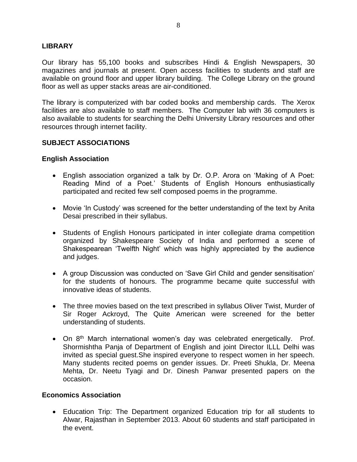#### **LIBRARY**

Our library has 55,100 books and subscribes Hindi & English Newspapers, 30 magazines and journals at present. Open access facilities to students and staff are available on ground floor and upper library building. The College Library on the ground floor as well as upper stacks areas are air-conditioned.

The library is computerized with bar coded books and membership cards. The Xerox facilities are also available to staff members. The Computer lab with 36 computers is also available to students for searching the Delhi University Library resources and other resources through internet facility.

# **SUBJECT ASSOCIATIONS**

#### **English Association**

- English association organized a talk by Dr. O.P. Arora on 'Making of A Poet: Reading Mind of a Poet.' Students of English Honours enthusiastically participated and recited few self composed poems in the programme.
- Movie 'In Custody' was screened for the better understanding of the text by Anita Desai prescribed in their syllabus.
- Students of English Honours participated in inter collegiate drama competition organized by Shakespeare Society of India and performed a scene of Shakespearean 'Twelfth Night' which was highly appreciated by the audience and judges.
- A group Discussion was conducted on 'Save Girl Child and gender sensitisation' for the students of honours. The programme became quite successful with innovative ideas of students.
- The three movies based on the text prescribed in syllabus Oliver Twist, Murder of Sir Roger Ackroyd, The Quite American were screened for the better understanding of students.
- On 8<sup>th</sup> March international women's day was celebrated energetically. Prof. Shormishtha Panja of Department of English and joint Director ILLL Delhi was invited as special guest.She inspired everyone to respect women in her speech. Many students recited poems on gender issues. Dr. Preeti Shukla, Dr. Meena Mehta, Dr. Neetu Tyagi and Dr. Dinesh Panwar presented papers on the occasion.

#### **Economics Association**

• Education Trip: The Department organized Education trip for all students to Alwar, Rajasthan in September 2013. About 60 students and staff participated in the event.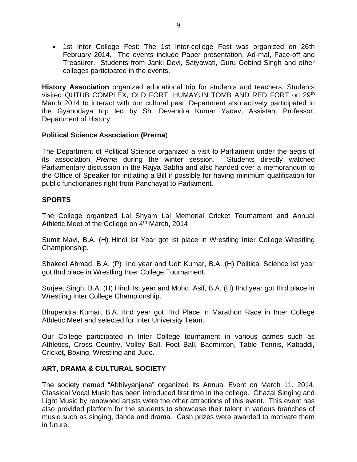• 1st Inter College Fest: The 1st Inter-college Fest was organized on 26th February 2014. The events include Paper presentation, Ad-mal, Face-off and Treasurer. Students from Janki Devi, Satyawati, Guru Gobind Singh and other colleges participated in the events.

**History Association** organized educational trip for students and teachers. Students visited QUTUB COMPLEX, OLD FORT, HUMAYUN TOMB AND RED FORT on 29<sup>th</sup> March 2014 to interact with our cultural past. Department also actively participated in the Gyanodaya trip led by Sh. Devendra Kumar Yadav, Assistant Professor, Department of History.

#### **Political Science Association (Prerna**)

The Department of Political Science organized a visit to Parliament under the aegis of its association *Prerna* during the winter session. Students directly watched Parliamentary discussion in the Rajya Sabha and also handed over a memorandum to the Office of Speaker for initiating a Bill if possible for having minimum qualification for public functionaries right from Panchayat to Parliament.

# **SPORTS**

The College organized Lal Shyam Lal Memorial Cricket Tournament and Annual Athletic Meet of the College on 4<sup>th</sup> March, 2014

Sumit Mavi, B.A. (H) Hindi Ist Year got Ist place in Wrestling Inter College Wrestling Championship.

Shakeel Ahmad, B.A. (P) IInd year and Udit Kumar, B.A. (H) Political Science Ist year got IInd place in Wrestling Inter College Tournament.

Surjeet Singh, B.A. (H) Hindi Ist year and Mohd. Asif, B.A. (H) IInd year got IIIrd place in Wrestling Inter College Championship.

Bhupendra Kumar, B.A. IInd year got IIIrd Place in Marathon Race in Inter College Athletic Meet and selected for Inter University Team.

Our College participated in Inter College tournament in various games such as Athletics, Cross Country, Volley Ball, Foot Ball, Badminton, Table Tennis, Kabaddi, Cricket, Boxing, Wrestling and Judo.

#### **ART, DRAMA & CULTURAL SOCIETY**

The society named "Abhivyanjana" organized its Annual Event on March 11, 2014. Classical Vocal Music has been introduced first time in the college. Ghazal Singing and Light Music by renowned artists were the other attractions of this event. This event has also provided platform for the students to showcase their talent in various branches of music such as singing, dance and drama. Cash prizes were awarded to motivate them in future.